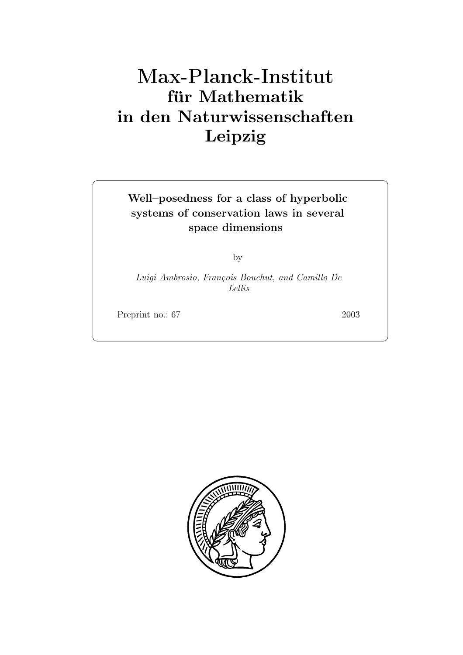# **fur Mathematik ¨ in den Naturwissenschaften Leipzig**

## **Well–posedness for a class of hyperbolic systems of conservation laws in several space dimensions**

by

*Luigi Ambrosio, Fran¸cois Bouchut, and Camillo De Lellis*

Preprint no.: 67 2003

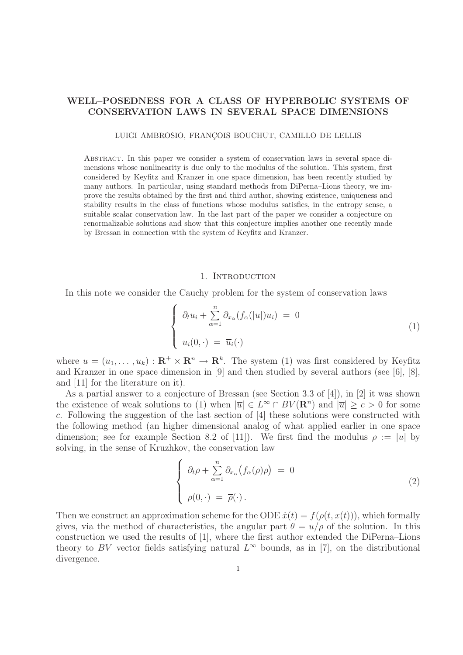### **WELL–POSEDNESS FOR A CLASS OF HYPERBOLIC SYSTEMS OF CONSERVATION LAWS IN SEVERAL SPACE DIMENSIONS**

LUIGI AMBROSIO, FRANÇOIS BOUCHUT, CAMILLO DE LELLIS

Abstract. In this paper we consider a system of conservation laws in several space dimensions whose nonlinearity is due only to the modulus of the solution. This system, first considered by Keyfitz and Kranzer in one space dimension, has been recently studied by many authors. In particular, using standard methods from DiPerna–Lions theory, we improve the results obtained by the first and third author, showing existence, uniqueness and stability results in the class of functions whose modulus satisfies, in the entropy sense, a suitable scalar conservation law. In the last part of the paper we consider a conjecture on renormalizable solutions and show that this conjecture implies another one recently made by Bressan in connection with the system of Keyfitz and Kranzer.

#### 1. INTRODUCTION

In this note we consider the Cauchy problem for the system of conservation laws

$$
\begin{cases}\n\partial_t u_i + \sum_{\alpha=1}^n \partial_{x_\alpha} (f_\alpha(|u|) u_i) = 0 \\
u_i(0, \cdot) = \overline{u}_i(\cdot)\n\end{cases} \tag{1}
$$

where  $u = (u_1, \dots, u_k) : \mathbf{R}^+ \times \mathbf{R}^n \to \mathbf{R}^k$ . The system (1) was first considered by Keyfitz and Kranzer in one space dimension in [9] and then studied by several authors (see [6], [8], and [11] for the literature on it).

As a partial answer to a conjecture of Bressan (see Section 3.3 of [4]), in [2] it was shown the existence of weak solutions to (1) when  $|\overline{u}| \in L^{\infty} \cap BV(\mathbb{R}^n)$  and  $|\overline{u}| > c > 0$  for some c. Following the suggestion of the last section of [4] these solutions were constructed with the following method (an higher dimensional analog of what applied earlier in one space dimension; see for example Section 8.2 of [11]). We first find the modulus  $\rho := |u|$  by solving, in the sense of Kruzhkov, the conservation law

$$
\begin{cases}\n\partial_t \rho + \sum_{\alpha=1}^n \partial_{x_\alpha} (f_\alpha(\rho) \rho) = 0 \\
\rho(0, \cdot) = \overline{\rho}(\cdot).\n\end{cases}
$$
\n(2)

Then we construct an approximation scheme for the ODE  $\dot{x}(t) = f(\rho(t, x(t)))$ , which formally gives, via the method of characteristics, the angular part  $\theta = u/\rho$  of the solution. In this construction we used the results of [1], where the first author extended the DiPerna–Lions theory to BV vector fields satisfying natural  $L^{\infty}$  bounds, as in [7], on the distributional divergence.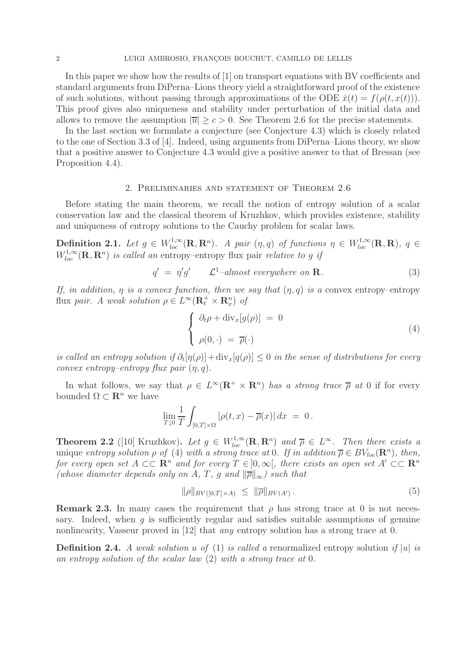In this paper we show how the results of [1] on transport equations with BV coefficients and standard arguments from DiPerna–Lions theory yield a straightforward proof of the existence of such solutions, without passing through approximations of the ODE  $\dot{x}(t) = f(\rho(t, x(t)))$ . This proof gives also uniqueness and stability under perturbation of the initial data and allows to remove the assumption  $|\overline{u}| > c > 0$ . See Theorem 2.6 for the precise statements.

In the last section we formulate a conjecture (see Conjecture 4.3) which is closely related to the one of Section 3.3 of [4]. Indeed, using arguments from DiPerna–Lions theory, we show that a positive answer to Conjecture 4.3 would give a positive answer to that of Bressan (see Proposition 4.4).

#### 2. Preliminaries and statement of Theorem 2.6

Before stating the main theorem, we recall the notion of entropy solution of a scalar conservation law and the classical theorem of Kruzhkov, which provides existence, stability and uniqueness of entropy solutions to the Cauchy problem for scalar laws.

**Definition 2.1.** *Let*  $g \in W_{loc}^{1,\infty}(\mathbb{R}, \mathbb{R}^n)$ . A pair  $(\eta, q)$  of functions  $\eta \in W_{loc}^{1,\infty}(\mathbb{R}, \mathbb{R})$ ,  $q \in$  $W_{loc}^{1,\infty}(\mathbf{R},\mathbf{R}^n)$  *is called an* entropy–entropy flux pair *relative to g if* 

$$
q' = \eta' g' \qquad \mathcal{L}^1 \text{-almost everywhere on } \mathbf{R}. \tag{3}
$$

*If, in addition,*  $\eta$  *is a convex function, then we say that*  $(\eta, q)$  *is a convex entropy–entropy* flux *pair.* A weak solution  $\rho \in L^{\infty}(\mathbf{R}_t^+ \times \mathbf{R}_x^n)$  of

$$
\begin{cases}\n\partial_t \rho + \operatorname{div}_x[g(\rho)] = 0 \\
\rho(0, \cdot) = \overline{\rho}(\cdot)\n\end{cases} \tag{4}
$$

*is called an entropy solution if*  $\partial_t[\eta(\rho)] + \text{div}_x[q(\rho)] \leq 0$  *in the sense of distributions for every convex entropy–entropy flux pair* (η, q)*.*

In what follows, we say that  $\rho \in L^{\infty}(\mathbf{R}^+ \times \mathbf{R}^n)$  *has a strong trace*  $\overline{\rho}$  *at* 0 if for every bounded  $\Omega \subset \mathbb{R}^n$  we have

$$
\lim_{T \downarrow 0} \frac{1}{T} \int_{[0,T] \times \Omega} |\rho(t,x) - \overline{\rho}(x)| dx = 0.
$$

**Theorem 2.2** ([10] Kruzhkov). Let  $g \in W_{loc}^{1,\infty}(\mathbb{R}, \mathbb{R}^n)$  and  $\overline{\rho} \in L^{\infty}$ . Then there exists a unique *entropy solution*  $\rho$  *of* (4) *with a strong trace at* 0*. If in addition*  $\overline{\rho} \in BV_{loc}(\mathbb{R}^n)$ *, then, for every open set*  $A \subset\subset \mathbb{R}^n$  *and for every*  $T \in ]0,\infty[$ *, there exists an open set*  $A' \subset\subset \mathbb{R}^n$ *(whose diameter depends only on* A, T, g and  $\|\overline{\rho}\|_{\infty}$ ) such that

$$
\|\rho\|_{BV([0,T[\times A)]} \le \|\overline{\rho}\|_{BV(A')}.\tag{5}
$$

**Remark 2.3.** In many cases the requirement that  $\rho$  has strong trace at 0 is not necessary. Indeed, when  $q$  is sufficiently regular and satisfies suitable assumptions of genuine nonlinearity, Vasseur proved in [12] that *any* entropy solution has a strong trace at 0.

**Definition 2.4.** *A weak solution* u *of* (1) *is called a* renormalized entropy solution *if* |u| *is an entropy solution of the scalar law* (2) *with a strong trace at* 0*.*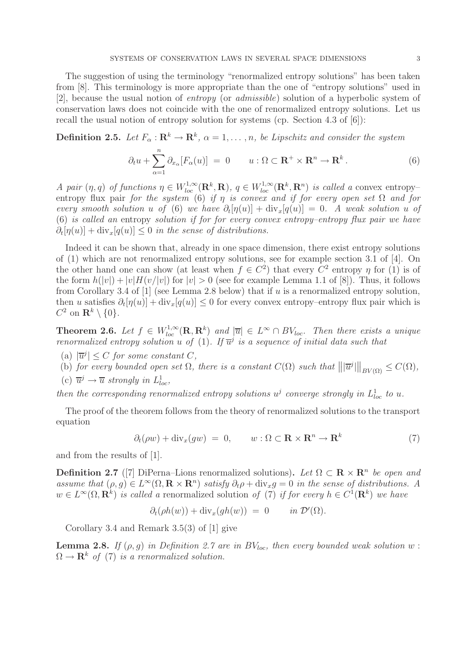The suggestion of using the terminology "renormalized entropy solutions" has been taken from [8]. This terminology is more appropriate than the one of "entropy solutions" used in [2], because the usual notion of *entropy* (or *admissible*) solution of a hyperbolic system of conservation laws does not coincide with the one of renormalized entropy solutions. Let us recall the usual notion of entropy solution for systems (cp. Section 4.3 of [6]):

**Definition 2.5.** *Let*  $F_{\alpha}: \mathbb{R}^{k} \to \mathbb{R}^{k}$ ,  $\alpha = 1, \ldots, n$ , be Lipschitz and consider the system

$$
\partial_t u + \sum_{\alpha=1}^n \partial_{x_\alpha} [F_\alpha(u)] = 0 \qquad u : \Omega \subset \mathbf{R}^+ \times \mathbf{R}^n \to \mathbf{R}^k. \tag{6}
$$

*A pair*  $(\eta, q)$  *of functions*  $\eta \in W_{loc}^{1,\infty}(\mathbf{R}^k, \mathbf{R})$ ,  $q \in W_{loc}^{1,\infty}(\mathbf{R}^k, \mathbf{R}^n)$  *is called a* convex entropyentropy flux pair *for the system* (6) *if*  $\eta$  *is convex and if for every open set*  $\Omega$  *and for every smooth solution* u *of* (6) *we have*  $\partial_t[\eta(u)] + \text{div}_x[q(u)] = 0$ . A weak solution u of (6) *is called an* entropy *solution if for for every convex entropy–entropy flux pair we have*  $\partial_t[\eta(u)] + \text{div}_x[q(u)] \leq 0$  in the sense of distributions.

Indeed it can be shown that, already in one space dimension, there exist entropy solutions of (1) which are not renormalized entropy solutions, see for example section 3.1 of [4]. On the other hand one can show (at least when  $f \in C^2$ ) that every  $C^2$  entropy  $\eta$  for (1) is of the form  $h(|v|) + |v|H(v/|v|)$  for  $|v| > 0$  (see for example Lemma 1.1 of [8]). Thus, it follows from Corollary 3.4 of  $[1]$  (see Lemma 2.8 below) that if u is a renormalized entropy solution, then u satisfies  $\partial_t[\eta(u)] + \text{div}_x[q(u)] \leq 0$  for every convex entropy–entropy flux pair which is  $C^2$  on  $\mathbf{R}^k \setminus \{0\}.$ 

**Theorem 2.6.** Let  $f \in W_{loc}^{1,\infty}(\mathbf{R}, \mathbf{R}^k)$  and  $|\overline{u}| \in L^{\infty} \cap BV_{loc}$ . Then there exists a unique *renormalized entropy solution* u of (1). If  $\overline{u}^j$  *is a sequence of initial data such that* 

- (a)  $|\overline{u}^j| \leq C$  *for some constant*  $C$ *,*
- (b) *for every bounded open set*  $\Omega$ *, there is a constant*  $C(\Omega)$  *such that*  $||\overline{u}^j||_{BV(\Omega)} \leq C(\Omega)$ *,*
- (c)  $\overline{u}^j \rightarrow \overline{u}$  strongly in  $L^1_{loc}$ ,

*then the corresponding renormalized entropy solutions*  $u^j$  *converge strongly in*  $L^1_{loc}$  *to*  $u$ *.* 

The proof of the theorem follows from the theory of renormalized solutions to the transport equation

$$
\partial_t(\rho w) + \text{div}_x(gw) = 0, \qquad w : \Omega \subset \mathbf{R} \times \mathbf{R}^n \to \mathbf{R}^k \tag{7}
$$

and from the results of [1].

**Definition 2.7** ([7] DiPerna–Lions renormalized solutions). Let  $\Omega \subset \mathbf{R} \times \mathbf{R}^n$  be open and *assume that*  $(\rho, g) \in L^{\infty}(\Omega, \mathbf{R} \times \mathbf{R}^n)$  *satisfy*  $\partial_t \rho + \text{div}_x g = 0$  *in the sense of distributions.* A  $w \in L^{\infty}(\Omega, \mathbb{R}^{k})$  *is called a* renormalized solution of (7) *if for every*  $h \in C^{1}(\mathbb{R}^{k})$  *we have* 

$$
\partial_t(\rho h(w)) + \text{div}_x(gh(w)) = 0 \quad in \mathcal{D}'(\Omega).
$$

Corollary 3.4 and Remark 3.5(3) of [1] give

**Lemma 2.8.** *If*  $(\rho, g)$  *in Definition 2.7 are in BV*<sub>loc</sub>, then every bounded weak solution w:  $\Omega \to \mathbf{R}^k$  of (7) is a renormalized solution.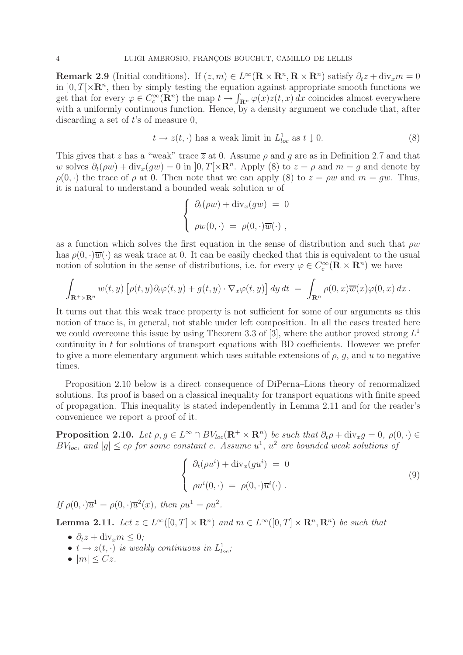**Remark 2.9** (Initial conditions). If  $(z, m) \in L^{\infty}(\mathbf{R} \times \mathbf{R}^n, \mathbf{R} \times \mathbf{R}^n)$  satisfy  $\partial_t z + \text{div}_x m = 0$ in  $[0, T] \times \mathbb{R}^n$ , then by simply testing the equation against appropriate smooth functions we get that for every  $\varphi \in C_c^{\infty}(\mathbf{R}^n)$  the map  $t \to \int_{\mathbf{R}^n} \varphi(x) z(t, x) dx$  coincides almost everywhere with a uniformly continuous function. Hence, by a density argument we conclude that, after discarding a set of  $t$ 's of measure 0,

$$
t \to z(t, \cdot) \text{ has a weak limit in } L^1_{loc} \text{ as } t \downarrow 0. \tag{8}
$$

This gives that z has a "weak" trace  $\overline{z}$  at 0. Assume  $\rho$  and g are as in Definition 2.7 and that w solves  $\partial_t(\rho w) + \text{div}_x(qw) = 0$  in  $[0, T] \times \mathbb{R}^n$ . Apply (8) to  $z = \rho$  and  $m = q$  and denote by  $\rho(0, \cdot)$  the trace of  $\rho$  at 0. Then note that we can apply (8) to  $z = \rho w$  and  $m = gw$ . Thus, it is natural to understand a bounded weak solution w of

$$
\begin{cases}\n\partial_t(\rho w) + \operatorname{div}_x(gw) = 0 \\
\rho w(0, \cdot) = \rho(0, \cdot) \overline{w}(\cdot) ,\n\end{cases}
$$

as a function which solves the first equation in the sense of distribution and such that  $\rho w$ has  $\rho(0, \cdot)\overline{w}(\cdot)$  as weak trace at 0. It can be easily checked that this is equivalent to the usual notion of solution in the sense of distributions, i.e. for every  $\varphi \in C_c^{\infty}(\mathbf{R} \times \mathbf{R}^n)$  we have

$$
\int_{\mathbf{R}^+\times\mathbf{R}^n} w(t,y) \left[\rho(t,y)\partial_t\varphi(t,y) + g(t,y)\cdot\nabla_x\varphi(t,y)\right] dy dt = \int_{\mathbf{R}^n} \rho(0,x)\overline{w}(x)\varphi(0,x) dx.
$$

It turns out that this weak trace property is not sufficient for some of our arguments as this notion of trace is, in general, not stable under left composition. In all the cases treated here we could overcome this issue by using Theorem 3.3 of [3], where the author proved strong  $L<sup>1</sup>$ continuity in t for solutions of transport equations with BD coefficients. However we prefer to give a more elementary argument which uses suitable extensions of  $\rho$ ,  $q$ , and u to negative times.

Proposition 2.10 below is a direct consequence of DiPerna–Lions theory of renormalized solutions. Its proof is based on a classical inequality for transport equations with finite speed of propagation. This inequality is stated independently in Lemma 2.11 and for the reader's convenience we report a proof of it.

**Proposition 2.10.** *Let*  $\rho, g \in L^{\infty} \cap BV_{loc}(\mathbf{R}^+ \times \mathbf{R}^n)$  *be such that*  $\partial_t \rho + \text{div}_x g = 0$ ,  $\rho(0, \cdot) \in$  $BV_{loc}$ , and  $|g| \leq c\rho$  for some constant c. Assume  $u^1$ ,  $u^2$  are bounded weak solutions of

$$
\begin{cases}\n\partial_t(\rho u^i) + \text{div}_x(gu^i) = 0 \\
\rho u^i(0, \cdot) = \rho(0, \cdot) \overline{u}^i(\cdot)\n\end{cases} \tag{9}
$$

*If*  $\rho(0, \cdot)\overline{u}^1 = \rho(0, \cdot)\overline{u}^2(x)$ , then  $\rho u^1 = \rho u^2$ .

**Lemma 2.11.** *Let*  $z \in L^{\infty}([0, T] \times \mathbb{R}^n)$  *and*  $m \in L^{\infty}([0, T] \times \mathbb{R}^n, \mathbb{R}^n)$  *be such that* 

- $\partial_t z + \text{div}_x m \leq 0$ ;
- $t \rightarrow z(t, \cdot)$  *is weakly continuous in*  $L^{1}_{loc}$ ;
- $\bullet$   $|m| \leq Cz$ .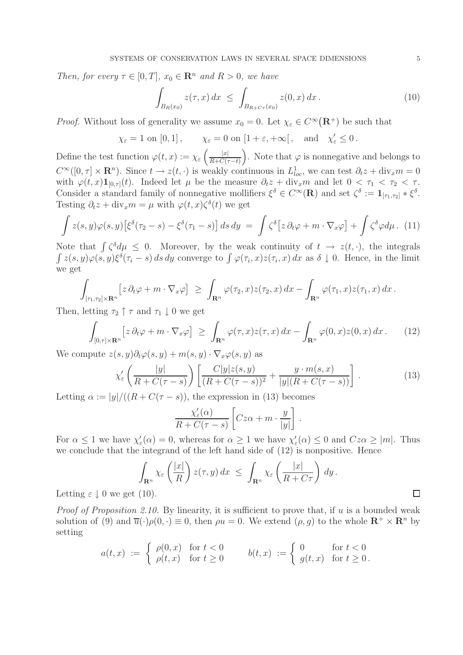*Then, for every*  $\tau \in [0, T]$ *,*  $x_0 \in \mathbb{R}^n$  *and*  $R > 0$ *, we have* 

$$
\int_{B_R(x_0)} z(\tau, x) dx \le \int_{B_{R+C\tau}(x_0)} z(0, x) dx.
$$
\n(10)

*Proof.* Without loss of generality we assume  $x_0 = 0$ . Let  $\chi_{\varepsilon} \in C^{\infty}(\mathbb{R}^+)$  be such that

$$
\chi_{\varepsilon} = 1
$$
 on  $[0, 1]$ ,  $\chi_{\varepsilon} = 0$  on  $[1 + \varepsilon, +\infty]$ , and  $\chi'_{\varepsilon} \leq 0$ .

Define the test function  $\varphi(t,x) := \chi_{\varepsilon} \left( \frac{|x|}{R+C(t)} \right)$  $R+C(\tau-t)$ ). Note that  $\varphi$  is nonnegative and belongs to  $C^{\infty}([0,\tau] \times \mathbf{R}^n)$ . Since  $t \to z(t,\cdot)$  is weakly continuous in  $L^1_{loc}$ , we can test  $\partial_t z + \text{div}_x m = 0$ with  $\varphi(t,x)\mathbf{1}_{[0,\tau]}(t)$ . Indeed let  $\mu$  be the measure  $\partial_t z + \text{div}_x m$  and let  $0 < \tau_1 < \tau_2 < \tau$ . Consider a standard family of nonnegative mollifiers  $\xi^{\delta} \in C^{\infty}(\mathbf{R})$  and set  $\zeta^{\delta} := \mathbf{1}_{[\tau_1, \tau_2]} * \xi^{\delta}$ . Testing  $\partial_t z + \text{div}_x m = \mu$  with  $\varphi(t, x) \zeta^{\delta}(t)$  we get

$$
\int z(s,y)\varphi(s,y)\left[\xi^{\delta}(\tau_2-s)-\xi^{\delta}(\tau_1-s)\right]ds\,dy\;=\;\int \zeta^{\delta}\left[z\,\partial_t\varphi+m\cdot\nabla_x\varphi\right]+\int \zeta^{\delta}\varphi d\mu.\tag{11}
$$

Note that  $\int \zeta^{\delta} d\mu \leq 0$ . Moreover, by the weak continuity of  $t \to z(t, \cdot)$ , the integrals  $\int z(s,y)\varphi(s,y)\xi^{\delta}(\tau_i-s)\,ds\,dy$  converge to  $\int \varphi(\tau_i,x)z(\tau_i,x)\,dx$  as  $\delta \downarrow 0$ . Hence, in the limit we get

$$
\int_{[\tau_1,\tau_2]\times\mathbf{R}^n} \left[ z \, \partial_t \varphi + m \cdot \nabla_x \varphi \right] \ \geq \ \int_{\mathbf{R}^n} \varphi(\tau_2,x) z(\tau_2,x) \, dx - \int_{\mathbf{R}^n} \varphi(\tau_1,x) z(\tau_1,x) \, dx \, .
$$

Then, letting  $\tau_2 \uparrow \tau$  and  $\tau_1 \downarrow 0$  we get

$$
\int_{[0,\tau]\times\mathbf{R}^n} \left[ z \, \partial_t \varphi + m \cdot \nabla_x \varphi \right] \ \geq \ \int_{\mathbf{R}^n} \varphi(\tau,x) z(\tau,x) \, dx - \int_{\mathbf{R}^n} \varphi(0,x) z(0,x) \, dx \,. \tag{12}
$$

We compute  $z(s, y)\partial_t\varphi(s, y) + m(s, y) \cdot \nabla_x\varphi(s, y)$  as

$$
\chi'_{\varepsilon}\left(\frac{|y|}{R+C(\tau-s)}\right)\left[\frac{C|y|z(s,y)}{(R+C(\tau-s))^2}+\frac{y\cdot m(s,x)}{|y|(R+C(\tau-s))}\right].\tag{13}
$$

.

Letting  $\alpha := |y|/((R+C(\tau-s))$ , the expression in (13) becomes

$$
\frac{\chi_{\varepsilon}'(\alpha)}{R + C(\tau - s)} \left[ Cz\alpha + m \cdot \frac{y}{|y|} \right]
$$

For  $\alpha \leq 1$  we have  $\chi'_{\varepsilon}(\alpha) = 0$ , whereas for  $\alpha \geq 1$  we have  $\chi'_{\varepsilon}(\alpha) \leq 0$  and  $Cz\alpha \geq |m|$ . Thus we conclude that the integrand of the left hand side of (12) is nonpositive. Hence

$$
\int_{\mathbf{R}^n} \chi_{\varepsilon} \left( \frac{|x|}{R} \right) z(\tau, y) dx \le \int_{\mathbf{R}^n} \chi_{\varepsilon} \left( \frac{|x|}{R + C\tau} \right) dy.
$$
\n(10).

Letting  $\varepsilon \downarrow 0$  we get (1).

*Proof of Proposition 2.10.* By linearity, it is sufficient to prove that, if u is a bounded weak solution of (9) and  $\overline{u}(\cdot)\rho(0, \cdot) \equiv 0$ , then  $\rho u = 0$ . We extend  $(\rho, g)$  to the whole  $\mathbb{R}^+ \times \mathbb{R}^n$  by setting

$$
a(t,x) := \begin{cases} \rho(0,x) & \text{for } t < 0 \\ \rho(t,x) & \text{for } t \ge 0 \end{cases} \qquad b(t,x) := \begin{cases} 0 & \text{for } t < 0 \\ g(t,x) & \text{for } t \ge 0 \end{cases}
$$

 $\Box$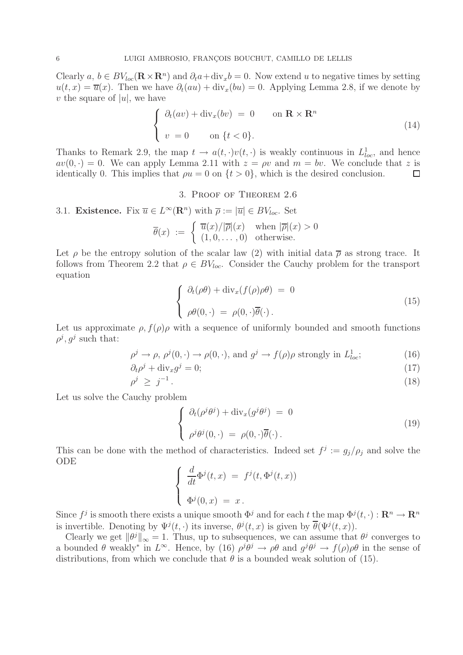Clearly  $a, b \in BV_{loc}(\mathbf{R} \times \mathbf{R}^n)$  and  $\partial_t a + \text{div}_x b = 0$ . Now extend u to negative times by setting  $u(t, x) = \overline{u}(x)$ . Then we have  $\partial_t(au) + \text{div}_x(bu) = 0$ . Applying Lemma 2.8, if we denote by v the square of  $|u|$ , we have

$$
\begin{cases} \partial_t (av) + \operatorname{div}_x (bv) = 0 & \text{on } \mathbf{R} \times \mathbf{R}^n \\ v = 0 & \text{on } \{t < 0\}. \end{cases}
$$
 (14)

Thanks to Remark 2.9, the map  $t \to a(t, \cdot)v(t, \cdot)$  is weakly continuous in  $L^1_{loc}$ , and hence  $av(0,.) = 0$ . We can apply Lemma 2.11 with  $z = \rho v$  and  $m = bv$ . We conclude that z is identically 0. This implies that  $\rho u = 0$  on  $\{t > 0\}$ , which is the desired conclusion.  $\Box$ 

3. Proof of Theorem 2.6

3.1. **Existence.** Fix 
$$
\overline{u} \in L^{\infty}(\mathbf{R}^n)
$$
 with  $\overline{\rho} := |\overline{u}| \in BV_{loc}$ . Set

$$
\overline{\theta}(x) := \begin{cases} \overline{u}(x)/|\overline{\rho}|(x) & \text{when } |\overline{\rho}|(x) > 0 \\ (1, 0, \dots, 0) & \text{otherwise.} \end{cases}
$$

Let  $\rho$  be the entropy solution of the scalar law (2) with initial data  $\overline{\rho}$  as strong trace. It follows from Theorem 2.2 that  $\rho \in BV_{loc}$ . Consider the Cauchy problem for the transport equation

$$
\begin{cases}\n\partial_t(\rho\theta) + \operatorname{div}_x(f(\rho)\rho\theta) = 0 \\
\rho\theta(0, \cdot) = \rho(0, \cdot)\overline{\theta}(\cdot).\n\end{cases}
$$
\n(15)

Let us approximate  $\rho$ ,  $f(\rho)\rho$  with a sequence of uniformly bounded and smooth functions  $\rho^j, g^j$  such that:

$$
\rho^j \to \rho, \ \rho^j(0, \cdot) \to \rho(0, \cdot), \text{ and } g^j \to f(\rho)\rho \text{ strongly in } L^1_{loc};\tag{16}
$$

$$
\partial_t \rho^j + \text{div}_x g^j = 0; \tag{17}
$$

$$
\rho^j \ge j^{-1} \tag{18}
$$

Let us solve the Cauchy problem

$$
\begin{cases}\n\partial_t(\rho^j \theta^j) + \operatorname{div}_x(g^j \theta^j) = 0 \\
\rho^j \theta^j(0, \cdot) = \rho(0, \cdot)\overline{\theta}(\cdot).\n\end{cases}
$$
\n(19)

This can be done with the method of characteristics. Indeed set  $f^j := g_j/\rho_j$  and solve the ODE

$$
\begin{cases}\n\frac{d}{dt}\Phi^{j}(t,x) = f^{j}(t,\Phi^{j}(t,x)) \\
\Phi^{j}(0,x) = x.\n\end{cases}
$$

Since  $f^j$  is smooth there exists a unique smooth  $\Phi^j$  and for each t the map  $\Phi^j(t, \cdot) : \mathbb{R}^n \to \mathbb{R}^n$ is invertible. Denoting by  $\Psi^j(t, \cdot)$  its inverse,  $\theta^j(t, x)$  is given by  $\overline{\theta}(\Psi^j(t, x))$ .

Clearly we get  $\|\theta^j\|_{\infty} = 1$ . Thus, up to subsequences, we can assume that  $\theta^j$  converges to a bounded  $\theta$  weakly<sup>∗</sup> in  $L^{\infty}$ . Hence, by (16)  $\rho^{j}\theta^{j} \to \rho\theta$  and  $g^{j}\theta^{j} \to f(\rho)\rho\theta$  in the sense of distributions, from which we conclude that  $\theta$  is a bounded weak solution of (15).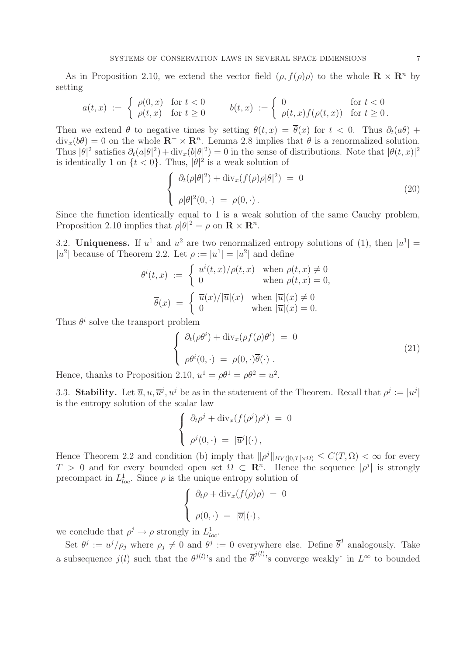As in Proposition 2.10, we extend the vector field  $(\rho, f(\rho)\rho)$  to the whole  $\mathbf{R} \times \mathbf{R}^n$  by setting

$$
a(t,x) := \begin{cases} \rho(0,x) & \text{for } t < 0 \\ \rho(t,x) & \text{for } t \ge 0 \end{cases} \qquad b(t,x) := \begin{cases} 0 & \text{for } t < 0 \\ \rho(t,x)f(\rho(t,x)) & \text{for } t \ge 0 \end{cases}
$$

Then we extend  $\theta$  to negative times by setting  $\theta(t, x) = \overline{\theta}(x)$  for  $t < 0$ . Thus  $\partial_t(a\theta)$  +  $div<sub>x</sub>(b\theta) = 0$  on the whole  $\mathbb{R}^+ \times \mathbb{R}^n$ . Lemma 2.8 implies that  $\theta$  is a renormalized solution. Thus  $|\theta|^2$  satisfies  $\partial_t(a|\theta|^2) + \text{div}_x(b|\theta|^2) = 0$  in the sense of distributions. Note that  $|\theta(t,x)|^2$ is identically 1 on  $\{t < 0\}$ . Thus,  $|\theta|^2$  is a weak solution of

$$
\begin{cases}\n\partial_t(\rho|\theta|^2) + \operatorname{div}_x(f(\rho)\rho|\theta|^2) = 0 \\
\rho|\theta|^2(0, \cdot) = \rho(0, \cdot).\n\end{cases}
$$
\n(20)

Since the function identically equal to 1 is a weak solution of the same Cauchy problem, Proposition 2.10 implies that  $\rho |\dot{\theta}|^2 = \rho$  on  $\mathbf{R} \times \mathbf{R}^n$ .

3.2. **Uniqueness.** If  $u^1$  and  $u^2$  are two renormalized entropy solutions of (1), then  $|u^1|$  = |u<sup>2</sup>| because of Theorem 2.2. Let  $\rho := |u^1| = |u^2|$  and define

$$
\theta^{i}(t,x) := \begin{cases} u^{i}(t,x)/\rho(t,x) & \text{when } \rho(t,x) \neq 0 \\ 0 & \text{when } \rho(t,x) = 0, \end{cases}
$$

$$
\overline{\theta}(x) = \begin{cases} \overline{u}(x)/|\overline{u}|(x) & \text{when } |\overline{u}|(x) \neq 0 \\ 0 & \text{when } |\overline{u}|(x) = 0. \end{cases}
$$

Thus  $\theta^i$  solve the transport problem

$$
\begin{cases}\n\partial_t(\rho\theta^i) + \operatorname{div}_x(\rho f(\rho)\theta^i) = 0 \\
\rho\theta^i(0,\cdot) = \rho(0,\cdot)\overline{\theta}(\cdot)\n\end{cases}
$$
\n(21)

Hence, thanks to Proposition 2.10,  $u^1 = \rho \theta^1 = \rho \theta^2 = u^2$ .

3.3. **Stability.** Let  $\overline{u}, u, \overline{u}^j, u^j$  be as in the statement of the Theorem. Recall that  $\rho^j := |u^j|$ is the entropy solution of the scalar law

$$
\begin{cases} \n\partial_t \rho^j + \operatorname{div}_x(f(\rho^j)\rho^j) = 0 \\ \n\rho^j(0, \cdot) = |\overline{u}^j|(\cdot) \n\end{cases}
$$

Hence Theorem 2.2 and condition (b) imply that  $\|\rho^{j}\|_{BV(]0,T[\times\Omega)} \leq C(T,\Omega) < \infty$  for every T > 0 and for every bounded open set  $\Omega \subset \mathbb{R}^n$ . Hence the sequence  $|\rho^j|$  is strongly precompact in  $L^1_{loc}$ . Since  $\rho$  is the unique entropy solution of

$$
\begin{cases} \partial_t \rho + \operatorname{div}_x(f(\rho)\rho) = 0 \\ \rho(0, \cdot) = |\overline{u}|(\cdot), \end{cases}
$$

we conclude that  $\rho^j \to \rho$  strongly in  $L^1_{loc}$ .

Set  $\theta^j := u^j/\rho_j$  where  $\rho_j \neq 0$  and  $\theta^j := 0$  everywhere else. Define  $\overline{\theta}^j$  analogously. Take a subsequence  $j(l)$  such that the  $\theta^{j(l)}$ 's and the  $\overline{\theta}^{j(l)}$ 's converge weakly<sup>\*</sup> in  $L^{\infty}$  to bounded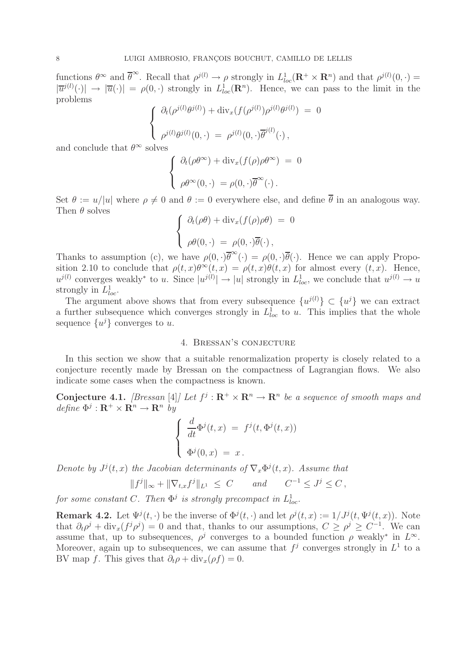functions  $\theta^{\infty}$  and  $\overline{\theta}^{\infty}$ . Recall that  $\rho^{j(l)} \to \rho$  strongly in  $L^{1}_{loc}(\mathbf{R}^{+} \times \mathbf{R}^{n})$  and that  $\rho^{j(l)}(0, \cdot) =$  $|\overline{u}^{j(l)}(\cdot)| \to |\overline{u}(\cdot)| = \rho(0,\cdot)$  strongly in  $L^1_{loc}(\mathbb{R}^n)$ . Hence, we can pass to the limit in the problems

$$
\begin{cases}\n\partial_t(\rho^{j(l)}\theta^{j(l)}) + \operatorname{div}_x(f(\rho^{j(l)})\rho^{j(l)}\theta^{j(l)}) = 0 \\
\rho^{j(l)}\theta^{j(l)}(0,\cdot) = \rho^{j(l)}(0,\cdot)\overline{\theta}^{j(l)}(\cdot),\n\end{cases}
$$

and conclude that  $\theta^{\infty}$  solves

$$
\begin{cases}\n\partial_t(\rho\theta^{\infty}) + \operatorname{div}_x(f(\rho)\rho\theta^{\infty}) = 0 \\
\rho\theta^{\infty}(0,\cdot) = \rho(0,\cdot)\overline{\theta}^{\infty}(\cdot).\n\end{cases}
$$

Set  $\theta := u/|u|$  where  $\rho \neq 0$  and  $\theta := 0$  everywhere else, and define  $\overline{\theta}$  in an analogous way. Then  $\theta$  solves

$$
\begin{cases}\n\partial_t(\rho\theta) + \operatorname{div}_x(f(\rho)\rho\theta) = 0 \\
\rho\theta(0, \cdot) = \rho(0, \cdot)\overline{\theta}(\cdot),\n\end{cases}
$$

Thanks to assumption (c), we have  $\rho(0, \cdot)\overline{\theta}^{\infty}(\cdot) = \rho(0, \cdot)\overline{\theta}(\cdot)$ . Hence we can apply Proposition 2.10 to conclude that  $\rho(t, x) \theta^{\infty}(t, x) = \rho(t, x) \theta(t, x)$  for almost every  $(t, x)$ . Hence,  $u^{j(l)}$  converges weakly<sup>\*</sup> to u. Since  $|u^{j(l)}| \to |u|$  strongly in  $L^1_{loc}$ , we conclude that  $u^{j(l)} \to u$ strongly in  $L^1_{loc}$ .

The argument above shows that from every subsequence  $\{u^{j(l)}\}\subset \{u^{j}\}\$ we can extract a further subsequence which converges strongly in  $L<sub>loc</sub><sup>1</sup>$  to u. This implies that the whole sequence  $\{u^j\}$  converges to u.

#### 4. Bressan's conjecture

In this section we show that a suitable renormalization property is closely related to a conjecture recently made by Bressan on the compactness of Lagrangian flows. We also indicate some cases when the compactness is known.

**Conjecture 4.1.** *[Bressan* [4]*]* Let  $f^j : \mathbb{R}^+ \times \mathbb{R}^n \to \mathbb{R}^n$  be a sequence of smooth maps and  $define \ \Phi^j : \mathbf{R}^+ \times \mathbf{R}^n \rightarrow \mathbf{R}^n \ by$ 

$$
\begin{cases}\n\frac{d}{dt}\Phi^{j}(t,x) = f^{j}(t,\Phi^{j}(t,x)) \\
\Phi^{j}(0,x) = x.\n\end{cases}
$$

*Denote by*  $J^{j}(t, x)$  *the Jacobian determinants of*  $\nabla_x \Phi^{j}(t, x)$ *. Assume that* 

$$
||f^j||_{\infty} + ||\nabla_{t,x} f^j||_{L^1} \leq C \quad \text{and} \quad C^{-1} \leq J^j \leq C,
$$

*for some constant* C. Then  $\Phi^j$  *is strongly precompact in*  $L^1_{loc}$ .

**Remark 4.2.** Let  $\Psi^j(t, \cdot)$  be the inverse of  $\Phi^j(t, \cdot)$  and let  $\rho^j(t, x) := 1/J^j(t, \Psi^j(t, x))$ . Note that  $\partial_t \rho^j + \text{div}_x(f^j \rho^j) = 0$  and that, thanks to our assumptions,  $C \ge \rho^j \ge C^{-1}$ . We can assume that, up to subsequences,  $\rho^j$  converges to a bounded function  $\rho$  weakly<sup>\*</sup> in  $L^{\infty}$ . Moreover, again up to subsequences, we can assume that  $f^j$  converges strongly in  $L^1$  to a BV map f. This gives that  $\partial_t \rho + \text{div}_x(\rho f) = 0$ .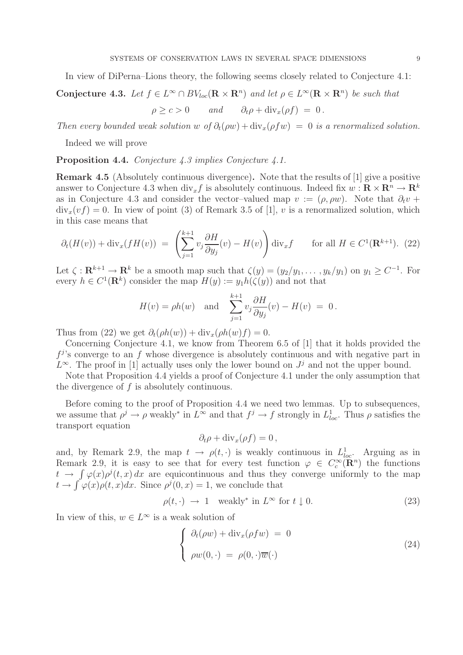In view of DiPerna–Lions theory, the following seems closely related to Conjecture 4.1:

## **Conjecture 4.3.** Let  $f \in L^{\infty} \cap BV_{loc}(\mathbf{R} \times \mathbf{R}^n)$  and let  $\rho \in L^{\infty}(\mathbf{R} \times \mathbf{R}^n)$  be such that  $\rho \geq c > 0$  *and*  $\partial_t \rho + \text{div}_x(\rho f) = 0$ .

*Then every bounded weak solution* w of  $\partial_t(\rho w) + \text{div}_x(\rho f w) = 0$  *is a renormalized solution.* 

Indeed we will prove

**Proposition 4.4.** *Conjecture 4.3 implies Conjecture 4.1.*

**Remark 4.5** (Absolutely continuous divergence). Note that the results of [1] give a positive answer to Conjecture 4.3 when  $\text{div}_x f$  is absolutely continuous. Indeed fix  $w : \mathbf{R} \times \mathbf{R}^n \to \mathbf{R}^k$ as in Conjecture 4.3 and consider the vector-valued map  $v := (\rho, \rho w)$ . Note that  $\partial_t v$  +  $div_x(vf) = 0$ . In view of point (3) of Remark 3.5 of [1], v is a renormalized solution, which in this case means that

$$
\partial_t(H(v)) + \text{div}_x(fH(v)) = \left(\sum_{j=1}^{k+1} v_j \frac{\partial H}{\partial y_j}(v) - H(v)\right) \text{div}_x f \quad \text{for all } H \in C^1(\mathbf{R}^{k+1}). \tag{22}
$$

Let  $\zeta : \mathbf{R}^{k+1} \to \mathbf{R}^k$  be a smooth map such that  $\zeta(y)=(y_2/y_1,\ldots,y_k/y_1)$  on  $y_1 \geq C^{-1}$ . For every  $h \in C^1(\mathbf{R}^k)$  consider the map  $H(y) := y_1 h(\zeta(y))$  and not that

$$
H(v) = \rho h(w) \quad \text{and} \quad \sum_{j=1}^{k+1} v_j \frac{\partial H}{\partial y_j}(v) - H(v) = 0.
$$

Thus from (22) we get  $\partial_t(\rho h(w)) + \text{div}_x(\rho h(w)f) = 0.$ 

Concerning Conjecture 4.1, we know from Theorem 6.5 of [1] that it holds provided the  $f^{j}$ 's converge to an f whose divergence is absolutely continuous and with negative part in  $L^{\infty}$ . The proof in [1] actually uses only the lower bound on  $J^{j}$  and not the upper bound.

Note that Proposition 4.4 yields a proof of Conjecture 4.1 under the only assumption that the divergence of  $f$  is absolutely continuous.

Before coming to the proof of Proposition 4.4 we need two lemmas. Up to subsequences, we assume that  $\rho^j \to \rho$  weakly<sup>\*</sup> in  $L^{\infty}$  and that  $f^j \to f$  strongly in  $L^1_{loc}$ . Thus  $\rho$  satisfies the transport equation

$$
\partial_t \rho + \mathrm{div}_x(\rho f) = 0 \,,
$$

and, by Remark 2.9, the map  $t \to \rho(t, \cdot)$  is weakly continuous in  $L^1_{loc}$ . Arguing as in Remark 2.9, it is easy to see that for every test function  $\varphi \in C_c^{\infty}(\mathbb{R}^n)$  the functions  $t \to \int \varphi(x) \rho^{j}(t, x) dx$  are equicontinuous and thus they converge uniformly to the map  $t \to \int \varphi(x)\rho(t,x)dx$ . Since  $\rho^{j}(0,x) = 1$ , we conclude that

$$
\rho(t, \cdot) \rightarrow 1 \quad \text{weakly* in } L^{\infty} \text{ for } t \downarrow 0. \tag{23}
$$

In view of this,  $w \in L^{\infty}$  is a weak solution of

$$
\begin{cases}\n\partial_t(\rho w) + \text{div}_x(\rho f w) = 0 \\
\rho w(0, \cdot) = \rho(0, \cdot)\overline{w}(\cdot)\n\end{cases}
$$
\n(24)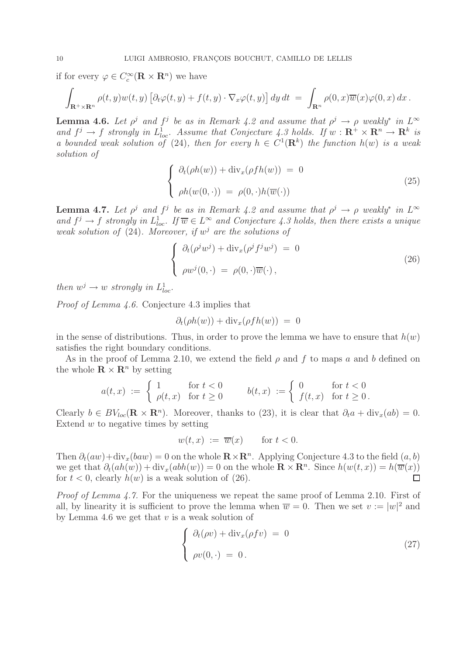if for every  $\varphi \in C_c^{\infty}(\mathbf{R} \times \mathbf{R}^n)$  we have

$$
\int_{\mathbf{R}^+\times\mathbf{R}^n} \rho(t,y) w(t,y) \left[\partial_t \varphi(t,y) + f(t,y) \cdot \nabla_x \varphi(t,y)\right] dy dt = \int_{\mathbf{R}^n} \rho(0,x) \overline{w}(x) \varphi(0,x) dx.
$$

**Lemma 4.6.** *Let*  $\rho^j$  *and*  $f^j$  *be as in Remark 4.2 and assume that*  $\rho^j \to \rho$  *weakly<sup>∗</sup> in*  $L^\infty$ and  $f^j \to f$  strongly in  $L^1_{loc}$ . Assume that Conjecture 4.3 holds. If  $w : \mathbb{R}^+ \times \mathbb{R}^n \to \mathbb{R}^k$  is *a bounded weak solution of* (24)*, then for every*  $h \in C^1(\mathbb{R}^k)$  *the function*  $h(w)$  *is a weak solution of*

$$
\begin{cases}\n\partial_t(\rho h(w)) + \operatorname{div}_x(\rho f h(w)) = 0 \\
\rho h(w(0, \cdot)) = \rho(0, \cdot) h(\overline{w}(\cdot))\n\end{cases}
$$
\n(25)

**Lemma 4.7.** *Let*  $\rho^j$  *and*  $f^j$  *be as in Remark 4.2 and assume that*  $\rho^j \to \rho$  *weakly<sup>∗</sup> in*  $L^\infty$ and  $f^j \to f$  strongly in  $L^1_{loc}$ . If  $\overline{w} \in L^{\infty}$  and Conjecture 4.3 holds, then there exists a unique *weak solution of* (24)*. Moreover, if*  $w<sup>j</sup>$  *are the solutions of* 

$$
\begin{cases}\n\partial_t(\rho^j w^j) + \operatorname{div}_x(\rho^j f^j w^j) = 0 \\
\rho w^j(0, \cdot) = \rho(0, \cdot) \overline{w}(\cdot),\n\end{cases}
$$
\n(26)

*then*  $w^j \rightarrow w$  *strongly in*  $L^1_{loc}$ *.* 

*Proof of Lemma 4.6.* Conjecture 4.3 implies that

$$
\partial_t(\rho h(w)) + \text{div}_x(\rho f h(w)) = 0
$$

in the sense of distributions. Thus, in order to prove the lemma we have to ensure that  $h(w)$ satisfies the right boundary conditions.

As in the proof of Lemma 2.10, we extend the field  $\rho$  and f to maps a and b defined on the whole  $\mathbf{R} \times \mathbf{R}^n$  by setting

$$
a(t,x) := \begin{cases} 1 & \text{for } t < 0 \\ \rho(t,x) & \text{for } t \ge 0 \end{cases} \qquad b(t,x) := \begin{cases} 0 & \text{for } t < 0 \\ f(t,x) & \text{for } t \ge 0 \end{cases}
$$

Clearly  $b \in BV_{loc}(\mathbf{R} \times \mathbf{R}^n)$ . Moreover, thanks to (23), it is clear that  $\partial_t a + \text{div}_x(ab) = 0$ . Extend  $w$  to negative times by setting

$$
w(t, x) := \overline{w}(x) \quad \text{for } t < 0.
$$

Then  $\partial_t(aw) + \text{div}_x(baw) = 0$  on the whole  $\mathbb{R} \times \mathbb{R}^n$ . Applying Conjecture 4.3 to the field  $(a, b)$ we get that  $\partial_t(ah(w)) + \text{div}_x(abh(w)) = 0$  on the whole  $\mathbb{R} \times \mathbb{R}^n$ . Since  $h(w(t, x)) = h(\overline{w}(x))$ for  $t < 0$ , clearly  $h(w)$  is a weak solution of (26).  $\Box$ 

*Proof of Lemma 4.7.* For the uniqueness we repeat the same proof of Lemma 2.10. First of all, by linearity it is sufficient to prove the lemma when  $\overline{w} = 0$ . Then we set  $v := |w|^2$  and by Lemma 4.6 we get that  $v$  is a weak solution of

$$
\begin{cases}\n\partial_t(\rho v) + \operatorname{div}_x(\rho f v) = 0 \\
\rho v(0, \cdot) = 0.\n\end{cases}
$$
\n(27)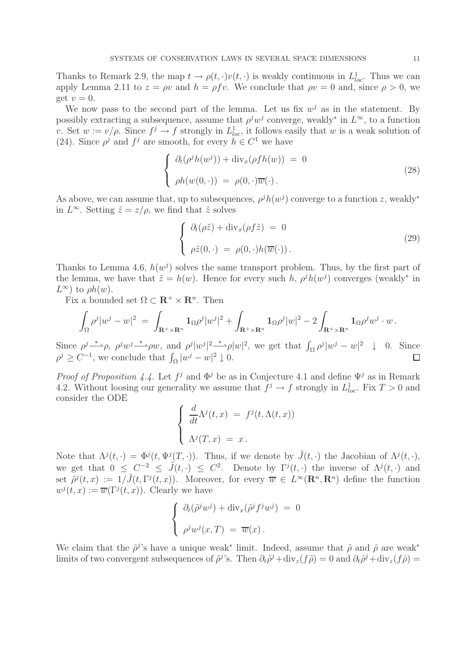Thanks to Remark 2.9, the map  $t \to \rho(t, \cdot)v(t, \cdot)$  is weakly continuous in  $L^1_{loc}$ . Thus we can apply Lemma 2.11 to  $z = \rho v$  and  $h = \rho f v$ . We conclude that  $\rho v = 0$  and, since  $\rho > 0$ , we get  $v = 0$ .

We now pass to the second part of the lemma. Let us fix  $w^j$  as in the statement. By possibly extracting a subsequence, assume that  $\rho^j w^j$  converge, weakly<sup>∗</sup> in  $L^{\infty}$ , to a function v. Set  $w := v/\rho$ . Since  $f^j \to f$  strongly in  $L^1_{loc}$ , it follows easily that w is a weak solution of (24). Since  $\rho^j$  and  $f^j$  are smooth, for every  $h \in C^1$  we have

$$
\begin{cases}\n\partial_t(\rho^j h(w^j)) + \operatorname{div}_x(\rho f h(w)) = 0 \\
\rho h(w(0, \cdot)) = \rho(0, \cdot)\overline{w}(\cdot).\n\end{cases}
$$
\n(28)

As above, we can assume that, up to subsequences,  $\rho^j h(w^j)$  converge to a function z, weakly<sup>\*</sup> in  $L^{\infty}$ . Setting  $\tilde{z} = z/\rho$ , we find that  $\tilde{z}$  solves

$$
\begin{cases}\n\partial_t(\rho \tilde{z}) + \operatorname{div}_x(\rho f \tilde{z}) = 0 \\
\rho \tilde{z}(0, \cdot) = \rho(0, \cdot) h(\overline{w}(\cdot)).\n\end{cases}
$$
\n(29)

Thanks to Lemma 4.6,  $h(w^{j})$  solves the same transport problem. Thus, by the first part of the lemma, we have that  $\tilde{z} = h(w)$ . Hence for every such h,  $\rho^j h(w^j)$  converges (weakly<sup>\*</sup> in  $L^{\infty}$ ) to  $\rho h(w)$ .

Fix a bounded set  $\Omega \subset \mathbf{R}^+ \times \mathbf{R}^n$ . Then

$$
\int_{\Omega}\rho^j|w^j-w|^2\;=\;\int_{\mathbf{R}^+\times\mathbf{R}^n}\mathbf{1}_{\Omega}\rho^j|w^j|^2+\int_{\mathbf{R}^+\times\mathbf{R}^n}\mathbf{1}_{\Omega}\rho^j|w|^2-2\int_{\mathbf{R}^+\times\mathbf{R}^n}\mathbf{1}_{\Omega}\rho^jw^j\cdot w\,.
$$

Since  $\rho^j \rightarrow \rho$ ,  $\rho^j w^j \rightarrow \rho w$ , and  $\rho^j |w^j|^2 \rightarrow \rho |w|^2$ , we get that  $\int_{\Omega} \rho^j |w^j - w|^2 \quad \downarrow \quad 0$ . Since  $\rho^j \geq C^{-1}$ , we conclude that  $\int_{\Omega} |w^j - w|^2 \downarrow 0$ . П

*Proof of Proposition 4.4.* Let  $f^j$  and  $\Phi^j$  be as in Conjecture 4.1 and define  $\Psi^j$  as in Remark 4.2. Without loosing our generality we assume that  $f^j \to f$  strongly in  $L^1_{loc}$ . Fix  $T > 0$  and consider the ODE

$$
\begin{cases}\n\frac{d}{dt}\Lambda^{j}(t,x) = f^{j}(t,\Lambda(t,x)) \\
\Lambda^{j}(T,x) = x.\n\end{cases}
$$

Note that  $\Lambda^{j}(t, \cdot) = \Phi^{j}(t, \Psi^{j}(T, \cdot))$ . Thus, if we denote by  $\tilde{J}(t, \cdot)$  the Jacobian of  $\Lambda^{j}(t, \cdot)$ , we get that  $0 \leq C^{-2} \leq \tilde{J}(t, \cdot) \leq C^2$ . Denote by  $\Gamma^{j}(t, \cdot)$  the inverse of  $\Lambda^{j}(t, \cdot)$  and set  $\tilde{\rho}^j(t,x) := 1/\tilde{J}(t,\Gamma^j(t,x))$ . Moreover, for every  $\overline{w} \in L^{\infty}(\mathbb{R}^n,\mathbb{R}^n)$  define the function  $w^{j}(t, x) := \overline{w}(\Gamma^{j}(t, x))$ . Clearly we have

$$
\begin{cases}\n\partial_t(\tilde{\rho}^j w^j) + \operatorname{div}_x(\tilde{\rho}^j f^j w^j) = 0 \\
\rho^j w^j(x, T) = \overline{w}(x).\n\end{cases}
$$

We claim that the  $\tilde{\rho}^j$ 's have a unique weak<sup>\*</sup> limit. Indeed, assume that  $\tilde{\rho}$  and  $\hat{\rho}$  are weak<sup>\*</sup> limits of two convergent subsequences of  $\tilde{\rho}^j$ 's. Then  $\partial_t \tilde{\rho}^j + \text{div}_z(f \tilde{\rho}) = 0$  and  $\partial_t \tilde{\rho}^j + \text{div}_z(f \tilde{\rho}) = 0$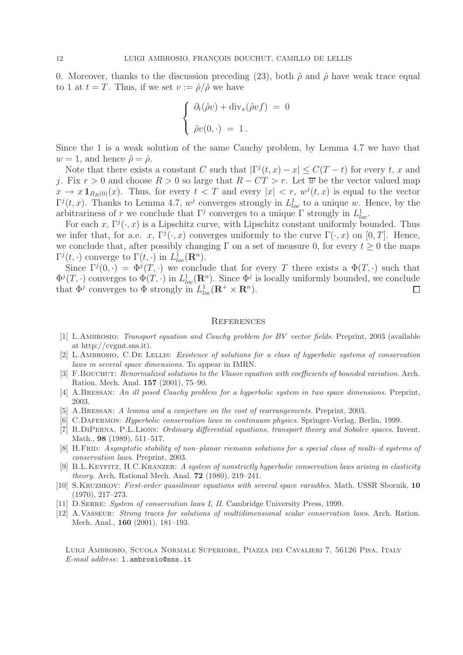0. Moreover, thanks to the discussion preceding (23), both  $\tilde{\rho}$  and  $\hat{\rho}$  have weak trace equal to 1 at  $t = T$ . Thus, if we set  $v := \hat{\rho}/\tilde{\rho}$  we have

$$
\begin{cases}\n\partial_t(\tilde{\rho}v) + \operatorname{div}_x(\tilde{\rho}vf) = 0 \\
\tilde{\rho}v(0, \cdot) = 1.\n\end{cases}
$$

Since the 1 is a weak solution of the same Cauchy problem, by Lemma 4.7 we have that  $w = 1$ , and hence  $\tilde{\rho} = \hat{\rho}$ .

Note that there exists a constant C such that  $|\Gamma^j(t,x)-x| \leq C(T-t)$  for every t, x and j. Fix  $r > 0$  and choose  $R > 0$  so large that  $R - CT > r$ . Let  $\overline{w}$  be the vector valued map  $x \to x \mathbf{1}_{B_R(0)}(x)$ . Thus, for every  $t < T$  and every  $|x| < r$ ,  $w^j(t,x)$  is equal to the vector  $\Gamma^{j}(t,x)$ . Thanks to Lemma 4.7,  $w^{j}$  converges strongly in  $L^{1}_{loc}$  to a unique w. Hence, by the arbitrariness of r we conclude that  $\Gamma^j$  converges to a unique  $\Gamma$  strongly in  $L^1_{loc}$ .

For each x,  $\Gamma^{j}(\cdot, x)$  is a Lipschitz curve, with Lipschitz constant uniformly bounded. Thus we infer that, for a.e. x,  $\Gamma^{j}(\cdot,x)$  converges uniformly to the curve  $\Gamma(\cdot,x)$  on [0, T]. Hence, we conclude that, after possibly changing  $\Gamma$  on a set of measure 0, for every  $t \geq 0$  the maps  $\Gamma^{j}(t,\cdot)$  converge to  $\Gamma(t,\cdot)$  in  $L_{loc}^{1}(\mathbf{R}^{n})$ .

Since  $\Gamma^{j}(0,\cdot)=\Phi^{j}(T,\cdot)$  we conclude that for every T there exists a  $\Phi(T,\cdot)$  such that  $\Phi^j(T, \cdot)$  converges to  $\Phi(T, \cdot)$  in  $L^1_{loc}(\mathbf{R}^n)$ . Since  $\Phi^j$  is locally uniformly bounded, we conclude that  $\Phi^j$  converges to  $\Phi$  strongly in  $L^1_{loc}(\mathbf{R}^+ \times \mathbf{R}^n)$ .  $\Box$ 

#### **REFERENCES**

- [1] L.Ambrosio: *Transport equation and Cauchy problem for BV vector fields.* Preprint, 2003 (available at http://cvgmt.sns.it).
- [2] L.Ambrosio, C.De Lellis: *Existence of solutions for a class of hyperbolic systems of conservation laws in several space dimensions.* To appear in IMRN.
- [3] F.Bouchut: *Renormalized solutions to the Vlasov equation with coefficients of bounded variation.* Arch. Ration. Mech. Anal. **157** (2001), 75–90.
- [4] A.Bressan: *An ill posed Cauchy problem for a hyperbolic system in two space dimensions.* Preprint, 2003.
- [5] A.Bressan: *A lemma and a conjecture on the cost of rearrangements.* Preprint, 2003.
- [6] C.Dafermos: *Hyperbolic conservation laws in continuum physics.* Springer-Verlag, Berlin, 1999.
- [7] R.DiPerna, P.L.Lions: *Ordinary differential equations, transport theory and Sobolev spaces.* Invent. Math., **98** (1989), 511–517.
- [8] H.Frid: *Asymptotic stability of non–planar riemann solutions for a special class of multi–d systems of conservation laws.* Preprint, 2003.
- [9] B.L.Keyfitz, H.C.Kranzer: *A system of nonstrictly hyperbolic conservation laws arising in elasticity theory.* Arch. Rational Mech. Anal. **72** (1980), 219–241.
- [10] S.Kruzhkov: *First-order quasilinear equations with several space variables.* Math. USSR Sbornik, **10** (1970), 217–273.
- [11] D.Serre: *System of conservation laws I, II.* Cambridge University Press, 1999.
- [12] A.Vasseur: *Strong traces for solutions of multidimensional scalar conservation laws.* Arch. Ration. Mech. Anal., **160** (2001), 181–193.

Luigi Ambrosio, Scuola Normale Superiore, Piazza dei Cavalieri 7, 56126 Pisa, Italy *E-mail address*: l.ambrosio@sns.it